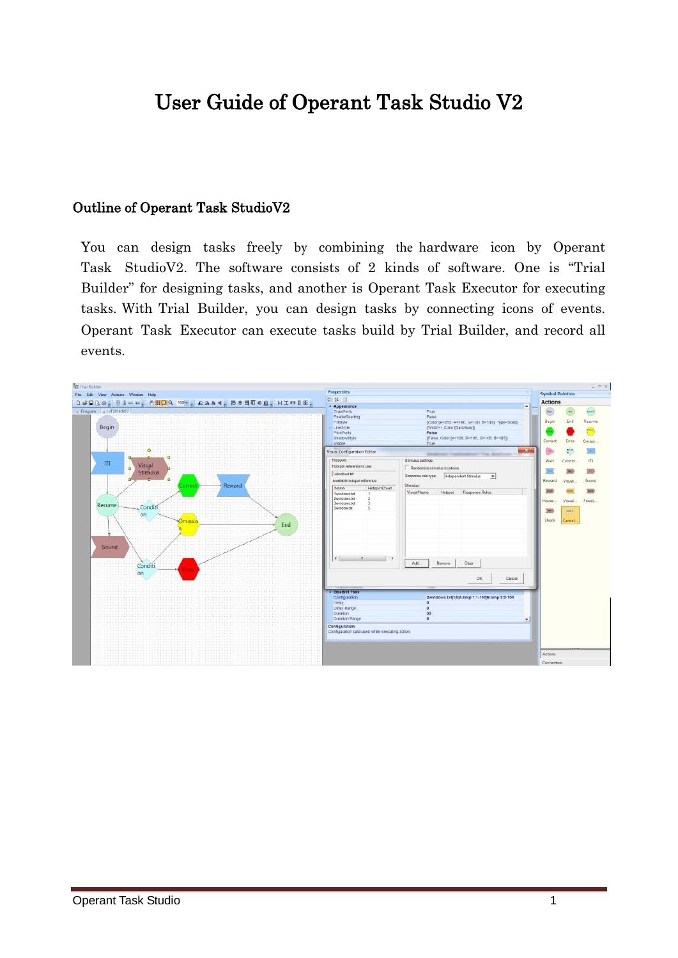# User Guide of Operant Task Studio V2

#### Outline of Operant Task StudioV2

You can design tasks freely by combining the hardware icon by Operant Task StudioV2. The software consists of 2 kinds of software. One is "Trial Builder" for designing tasks, and another is Operant Task Executor for executing tasks. With Trial Builder, you can design tasks by connecting icons of events. Operant Task Executor can execute tasks build by Trial Builder, and record all events.

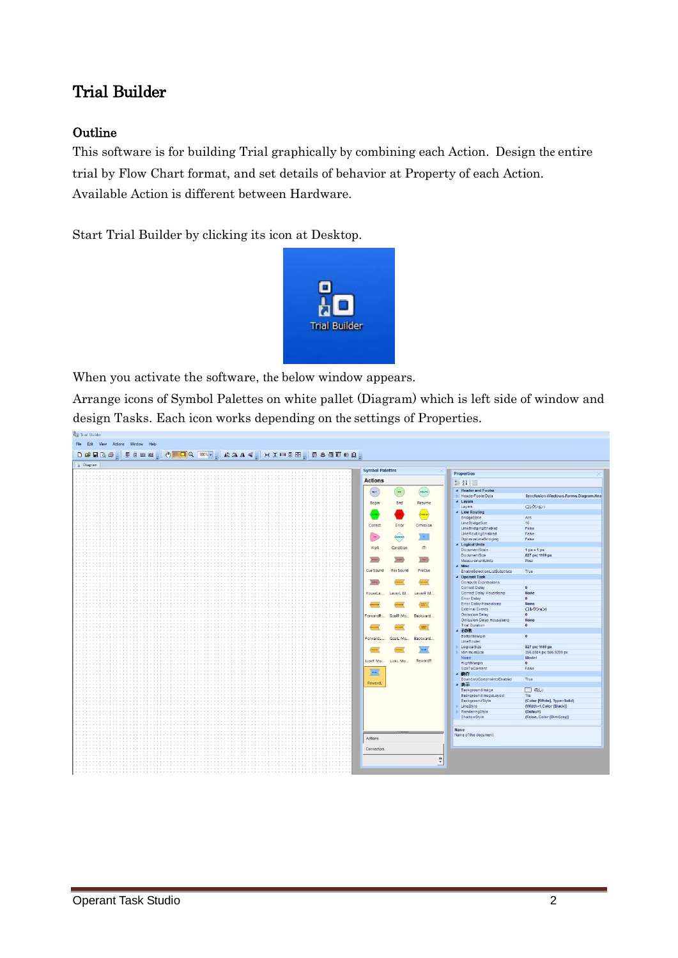### Trial Builder

#### **Outline**

This software is for building Trial graphically by combining each Action. Design the entire trial by Flow Chart format, and set details of behavior at Property of each Action. Available Action is different between Hardware.

Start Trial Builder by clicking its icon at Desktop.



When you activate the software, the below window appears.

Arrange icons of Symbol Palettes on white pallet (Diagram) which is left side of window and design Tasks. Each icon works depending on the settings of Properties.

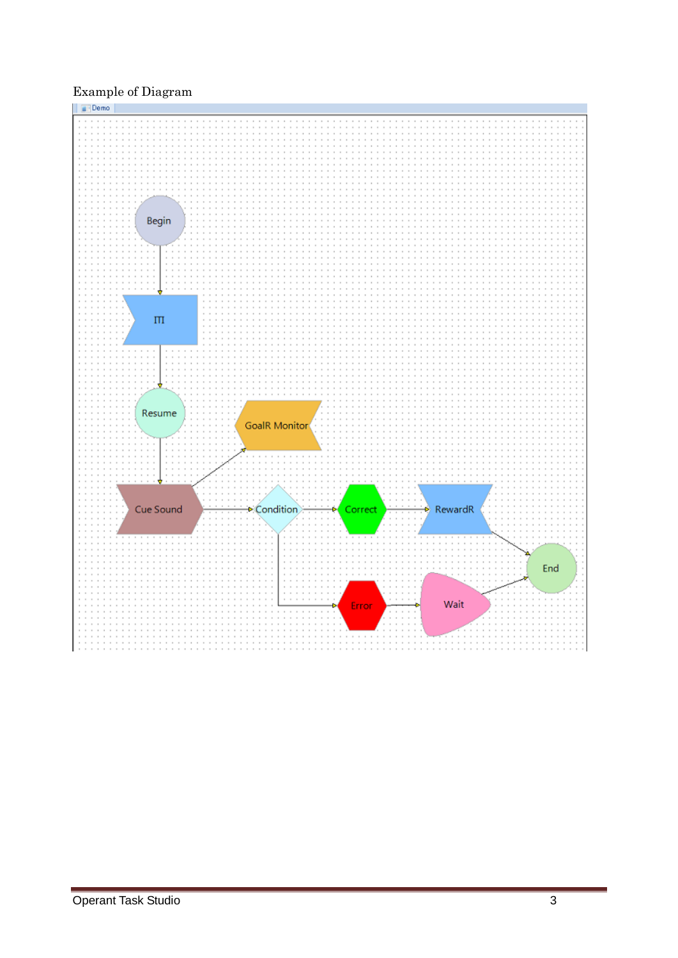#### Example of Diagram

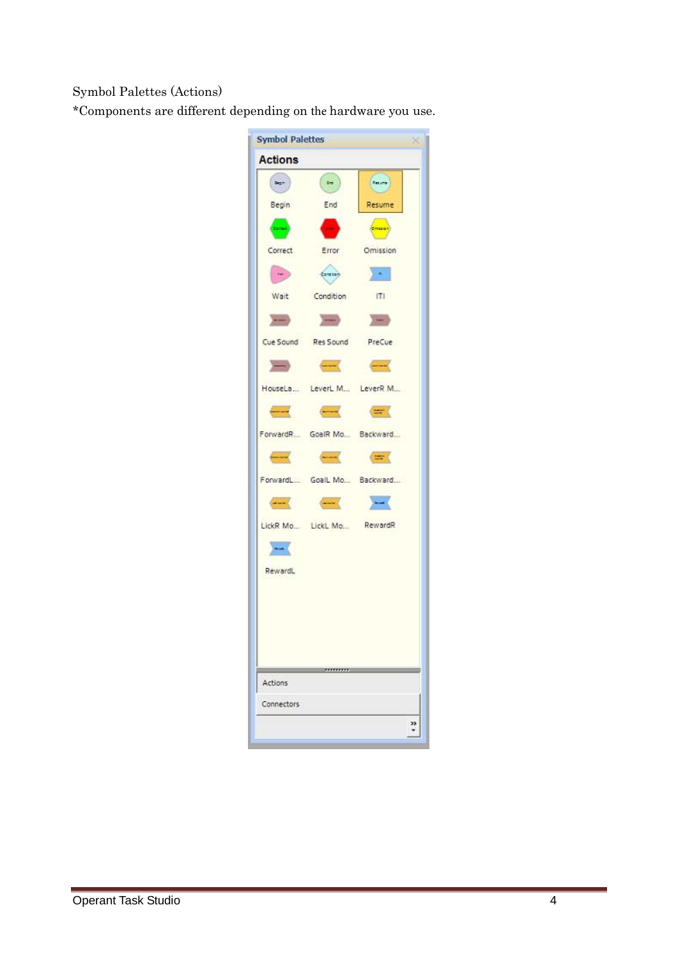Symbol Palettes (Actions)

\*Components are different depending on the hardware you use.

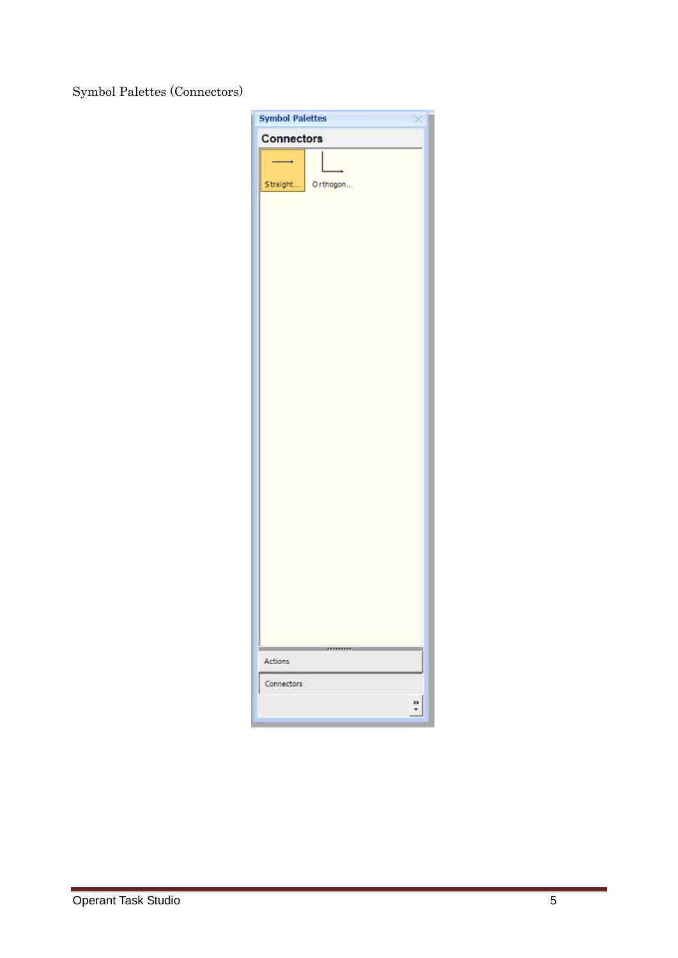Symbol Palettes (Connectors)

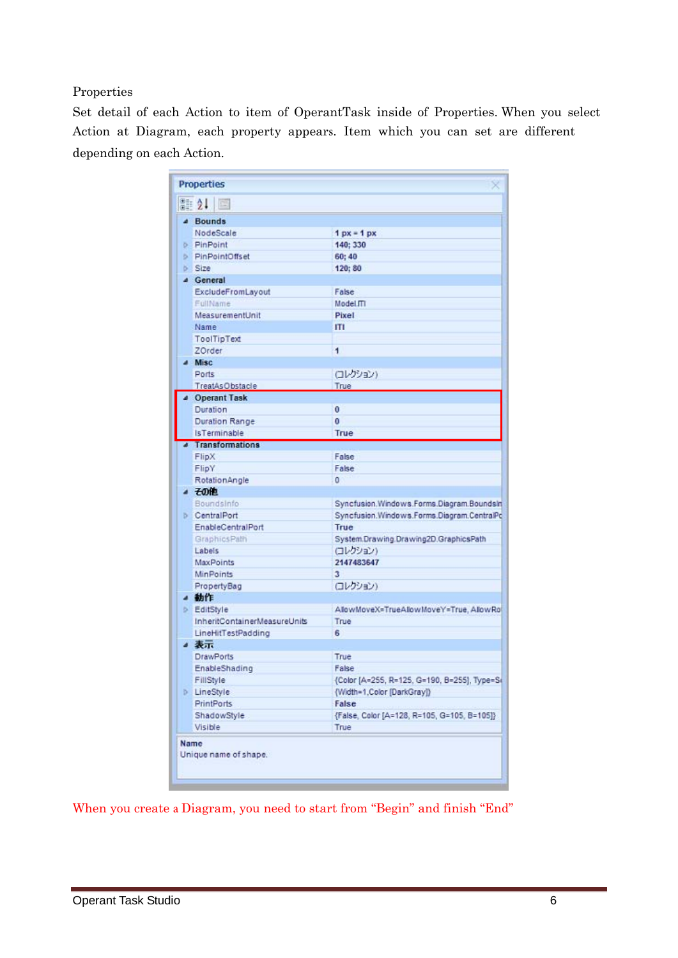#### Properties

Set detail of each Action to item of OperantTask inside of Properties. When you select Action at Diagram, each property appears. Item which you can set are different depending on each Action.

| <b>Properties</b>             |                                               |
|-------------------------------|-----------------------------------------------|
| <b>龍公</b><br>国                |                                               |
| 4 Bounds                      |                                               |
| NodeScale                     | $1px = 1px$                                   |
| <b>PinPoint</b>               | 140: 330                                      |
| PinPointOffset                | 60; 40                                        |
| $5$ Size                      | 120:80                                        |
| 4 General                     |                                               |
| ExcludeFromLayout             | False                                         |
| FullName                      | Model.ITI                                     |
| MeasurementUnit               | Pixel                                         |
| <b>Name</b>                   | ш                                             |
| <b>ToolTipText</b>            |                                               |
| ZOrder                        | 1                                             |
| <sup>4</sup> Misc             |                                               |
| Ports                         | (コレクション)                                      |
| TreatAsObstacle               | True                                          |
| 4 Operant Task                |                                               |
| Duration                      | o                                             |
| Duration Range                | o                                             |
| <b>Is Terminable</b>          | True                                          |
| <b>4</b> Transformations      |                                               |
| FlipX                         | False                                         |
| FlipY                         | False                                         |
| RotationAngle                 | ٥                                             |
| 4 子の他                         |                                               |
| BoundsInfo                    | Syncfusion, Windows, Forms, Diagram, Boundsln |
| <b>CentralPort</b>            | Syncfusion.Windows.Forms.Diagram.CentralPc    |
| EnableCentralPort             | True                                          |
| GraphicsPath                  | System.Drawing.Drawing2D.GraphicsPath         |
| Labels                        | ロレクション)                                       |
| MaxPoints                     | 2147483647                                    |
| <b>MinPoints</b>              | 3.                                            |
| PropertyBag                   | (コレクション)                                      |
| 4 動作                          |                                               |
| <b>EditStyle</b>              | AllowMoveX=TrueAllowMoveY=True, AllowRol      |
| InheritContainerMeasureUnits  | True                                          |
| LineHitTestPadding            | 6                                             |
| ▲ 表示                          |                                               |
| <b>DrawPorts</b>              | True                                          |
| EnableShading                 | False                                         |
| FillStyle                     | (Color [A=255, R=125, G=190, B=255], Type=S+  |
| <b>D</b> LineStyle            | {Width=1,Color [DarkGray]}                    |
| <b>PrintPorts</b>             | False                                         |
| ShadowStyle                   | {False, Color [A=128, R=105, G=105, B=105]}   |
| Visible                       | True                                          |
|                               |                                               |
| Name<br>Unique name of shape. |                                               |

When you create a Diagram, you need to start from "Begin" and finish "End"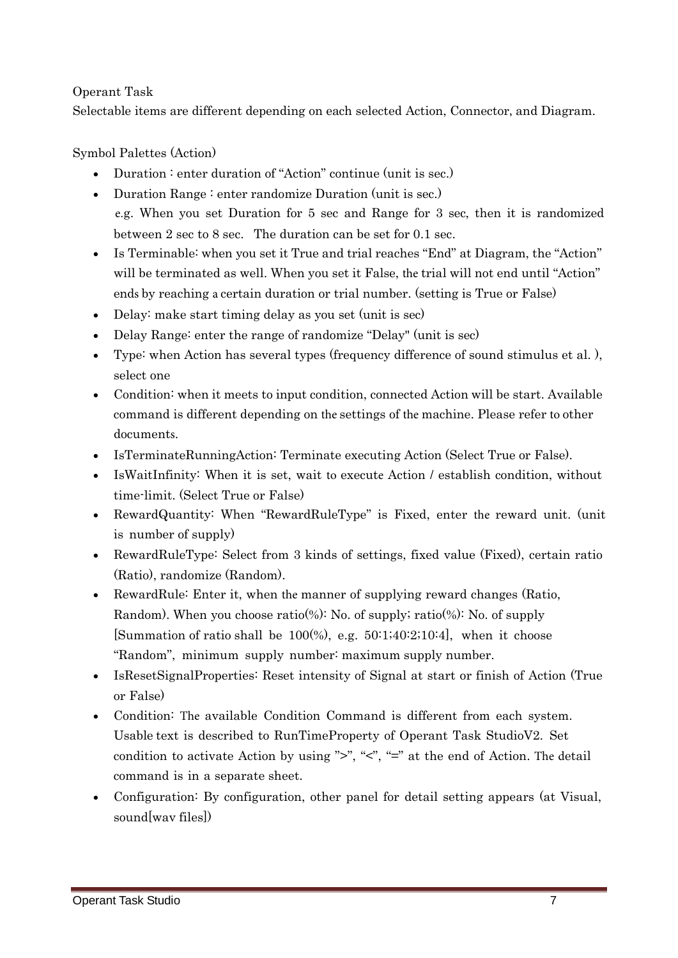#### Operant Task

Selectable items are different depending on each selected Action, Connector, and Diagram.

#### Symbol Palettes (Action)

- Duration : enter duration of "Action" continue (unit is sec.)
- Duration Range : enter randomize Duration (unit is sec.) e.g. When you set Duration for 5 sec and Range for 3 sec, then it is randomized between 2 sec to 8 sec. The duration can be set for 0.1 sec.
- Is Terminable: when you set it True and trial reaches "End" at Diagram, the "Action" will be terminated as well. When you set it False, the trial will not end until "Action" ends by reaching a certain duration or trial number. (setting is True or False)
- Delay: make start timing delay as you set (unit is sec)
- Delay Range: enter the range of randomize "Delay" (unit is sec)
- Type: when Action has several types (frequency difference of sound stimulus et al. ), select one
- Condition: when it meets to input condition, connected Action will be start. Available command is different depending on the settings of the machine. Please refer to other documents.
- IsTerminateRunningAction: Terminate executing Action (Select True or False).
- IsWaitInfinity: When it is set, wait to execute Action / establish condition, without time-limit. (Select True or False)
- RewardQuantity: When "RewardRuleType" is Fixed, enter the reward unit. (unit is number of supply)
- RewardRuleType: Select from 3 kinds of settings, fixed value (Fixed), certain ratio (Ratio), randomize (Random).
- RewardRule: Enter it, when the manner of supplying reward changes (Ratio, Random). When you choose ratio(%): No. of supply; ratio(%): No. of supply [Summation of ratio shall be  $100\%$ ), e.g.  $50:1;40:2;10:4$ ], when it choose "Random", minimum supply number: maximum supply number.
- IsResetSignalProperties: Reset intensity of Signal at start or finish of Action (True or False)
- Condition: The available Condition Command is different from each system. Usable text is described to RunTimeProperty of Operant Task StudioV2. Set condition to activate Action by using ">", " $\leq$ ", "=" at the end of Action. The detail command is in a separate sheet.
- Configuration: By configuration, other panel for detail setting appears (at Visual, sound[wav files])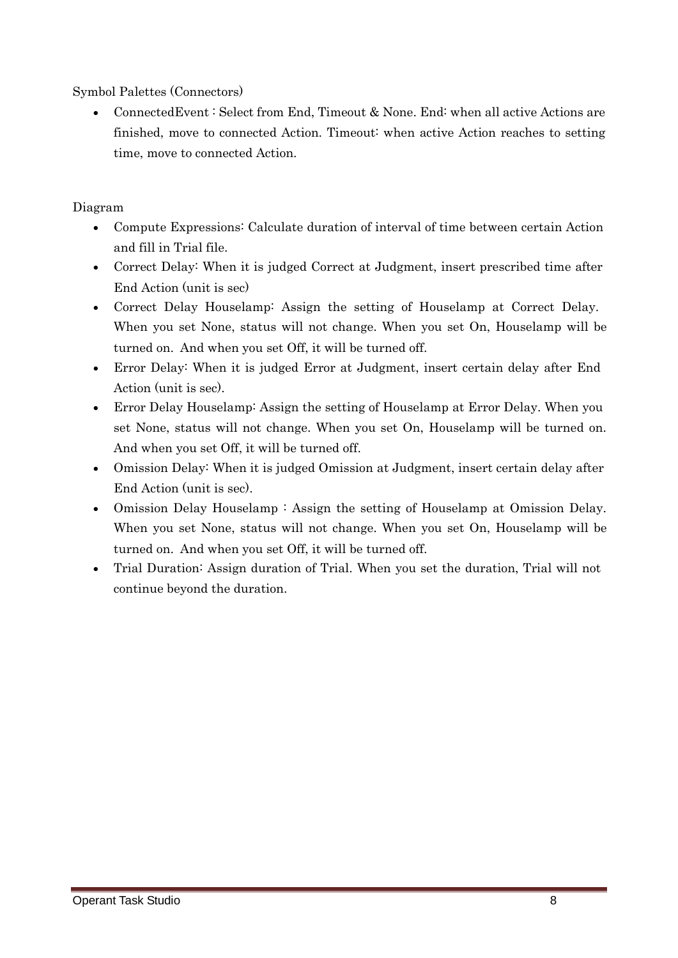Symbol Palettes (Connectors)

• Connected Event: Select from End. Timeout & None. End: when all active Actions are finished, move to connected Action. Timeout: when active Action reaches to setting time, move to connected Action.

#### Diagram

- Compute Expressions: Calculate duration of interval of time between certain Action and fill in Trial file.
- Correct Delay: When it is judged Correct at Judgment, insert prescribed time after End Action (unit is sec)
- Correct Delay Houselamp: Assign the setting of Houselamp at Correct Delay. When you set None, status will not change. When you set On, Houselamp will be turned on. And when you set Off, it will be turned off.
- Error Delay: When it is judged Error at Judgment, insert certain delay after End Action (unit is sec).
- Error Delay Houselamp: Assign the setting of Houselamp at Error Delay. When you set None, status will not change. When you set On, Houselamp will be turned on. And when you set Off, it will be turned off.
- Omission Delay: When it is judged Omission at Judgment, insert certain delay after End Action (unit is sec).
- Omission Delay Houselamp : Assign the setting of Houselamp at Omission Delay. When you set None, status will not change. When you set On, Houselamp will be turned on. And when you set Off, it will be turned off.
- Trial Duration: Assign duration of Trial. When you set the duration, Trial will not continue beyond the duration.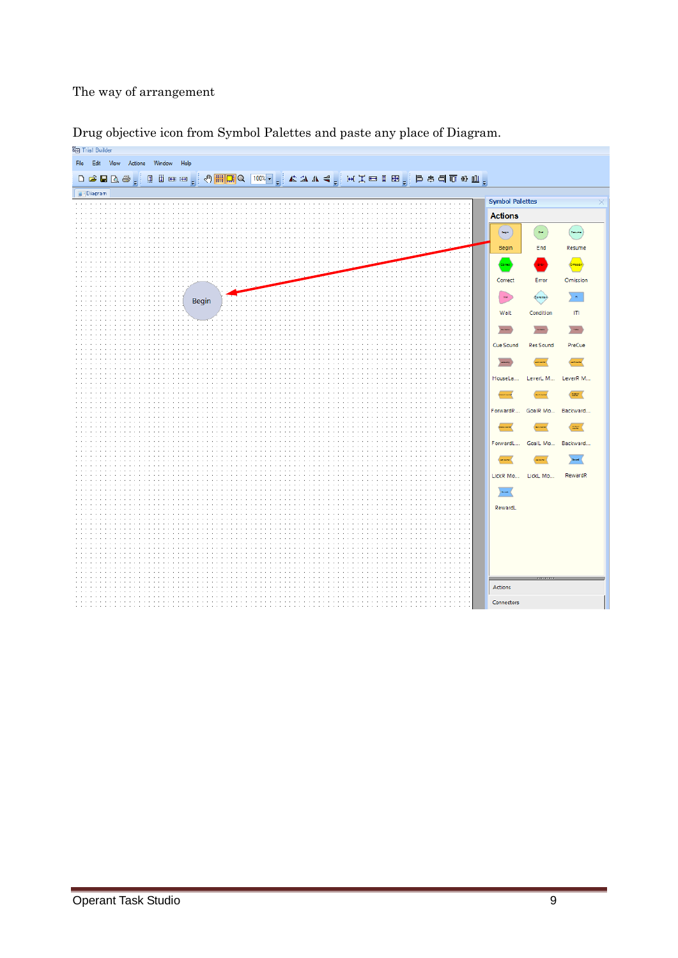#### The way of arrangement



#### Drug objective icon from Symbol Palettes and paste any place of Diagram.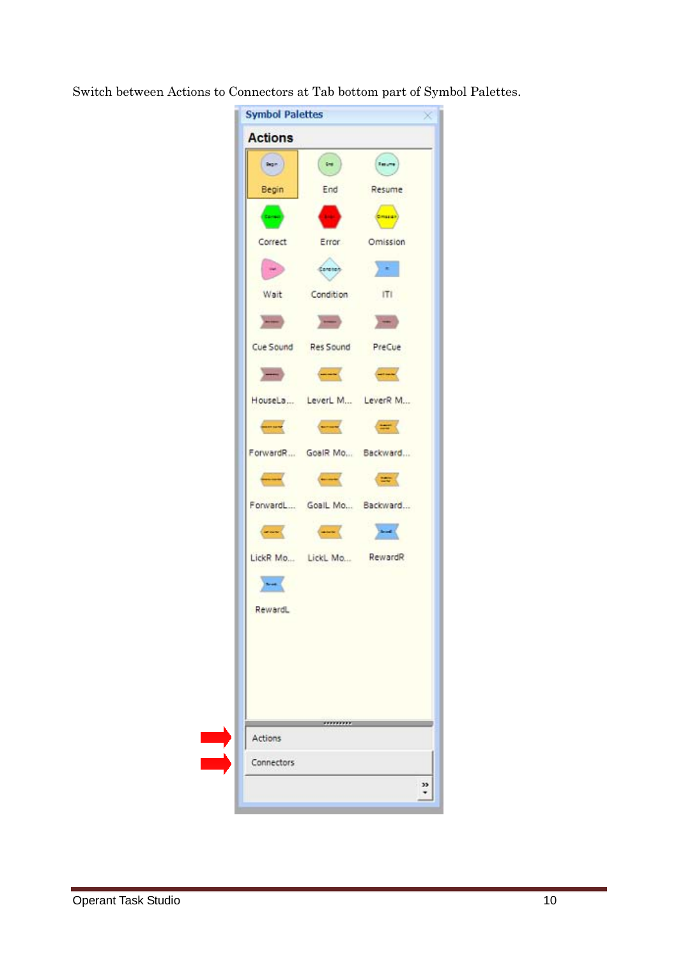Switch between Actions to Connectors at Tab bottom part of Symbol Palettes.

| <b>Actions</b>   |                                                                                                                                                                                                                                                                                                                                                                                                                                                                      |                         |
|------------------|----------------------------------------------------------------------------------------------------------------------------------------------------------------------------------------------------------------------------------------------------------------------------------------------------------------------------------------------------------------------------------------------------------------------------------------------------------------------|-------------------------|
| log <sub>n</sub> | $\left( \begin{array}{c} \bullet \\ \bullet \end{array} \right)$                                                                                                                                                                                                                                                                                                                                                                                                     | <b>Teruma</b>           |
| Begin            | End                                                                                                                                                                                                                                                                                                                                                                                                                                                                  | Resume                  |
| and)             | <b>Septime</b>                                                                                                                                                                                                                                                                                                                                                                                                                                                       | <b>Cineral</b>          |
| Correct          | Error                                                                                                                                                                                                                                                                                                                                                                                                                                                                | Omission                |
| $\sim$ $\alpha$  | darange                                                                                                                                                                                                                                                                                                                                                                                                                                                              | $\langle \cdot \rangle$ |
|                  | Wait Condition                                                                                                                                                                                                                                                                                                                                                                                                                                                       | T                       |
|                  | $\label{eq:12} \begin{array}{lllllll} \text{Mink} & \text{and} & \text{Mink} \\ \text{Mink} & \text{Mink} \\ \text{Mink} & \text{Mink} \\ \text{Mink} & \text{Mink} \\ \text{Mink} & \text{Mink} \\ \text{Mink} & \text{Mink} \\ \text{Mink} & \text{Mink} \\ \text{Mink} & \text{Mink} \\ \text{Mink} & \text{Mink} \\ \text{Mink} & \text{Mink} \\ \text{Mink} & \text{Mink} \\ \text{Mik} & \text{Mink} \\ \text{Mik} & \text{Mik} \\ \text{Mik} & \text{Mik} \\$ |                         |
|                  | Cue Sound Res Sound PreCue                                                                                                                                                                                                                                                                                                                                                                                                                                           |                         |
|                  |                                                                                                                                                                                                                                                                                                                                                                                                                                                                      |                         |
|                  | HouseLa LeverL M LeverR M                                                                                                                                                                                                                                                                                                                                                                                                                                            |                         |
|                  | $\begin{picture}(15,10) \put(0,0){\vector(1,0){10}} \put(10,0){\vector(1,0){10}} \put(10,0){\vector(1,0){10}} \put(10,0){\vector(1,0){10}} \put(10,0){\vector(1,0){10}} \put(10,0){\vector(1,0){10}} \put(10,0){\vector(1,0){10}} \put(10,0){\vector(1,0){10}} \put(10,0){\vector(1,0){10}} \put(10,0){\vector(1,0){10}} \put(10,0){\vector(1,0){10}} \put(10,0){\vector(1$                                                                                          |                         |
|                  | ForwardR GoalR Mo Backward                                                                                                                                                                                                                                                                                                                                                                                                                                           |                         |
|                  | <b>CONTRACTOR</b>                                                                                                                                                                                                                                                                                                                                                                                                                                                    |                         |
|                  | ForwardL GoalL Mo Backward                                                                                                                                                                                                                                                                                                                                                                                                                                           |                         |
|                  | $\begin{picture}(20,10) \put(0,0){\vector(1,0){10}} \put(15,0){\vector(1,0){10}} \put(15,0){\vector(1,0){10}} \put(15,0){\vector(1,0){10}} \put(15,0){\vector(1,0){10}} \put(15,0){\vector(1,0){10}} \put(15,0){\vector(1,0){10}} \put(15,0){\vector(1,0){10}} \put(15,0){\vector(1,0){10}} \put(15,0){\vector(1,0){10}} \put(15,0){\vector(1,0){10}} \put(15,0){\vector(1$                                                                                          | $\frac{1}{2}$           |
|                  | LickR Mo LickL Mo RewardR                                                                                                                                                                                                                                                                                                                                                                                                                                            |                         |
| $-$              |                                                                                                                                                                                                                                                                                                                                                                                                                                                                      |                         |
| RewardL          |                                                                                                                                                                                                                                                                                                                                                                                                                                                                      |                         |
|                  |                                                                                                                                                                                                                                                                                                                                                                                                                                                                      |                         |
| Actions          |                                                                                                                                                                                                                                                                                                                                                                                                                                                                      |                         |
| Connectors       |                                                                                                                                                                                                                                                                                                                                                                                                                                                                      |                         |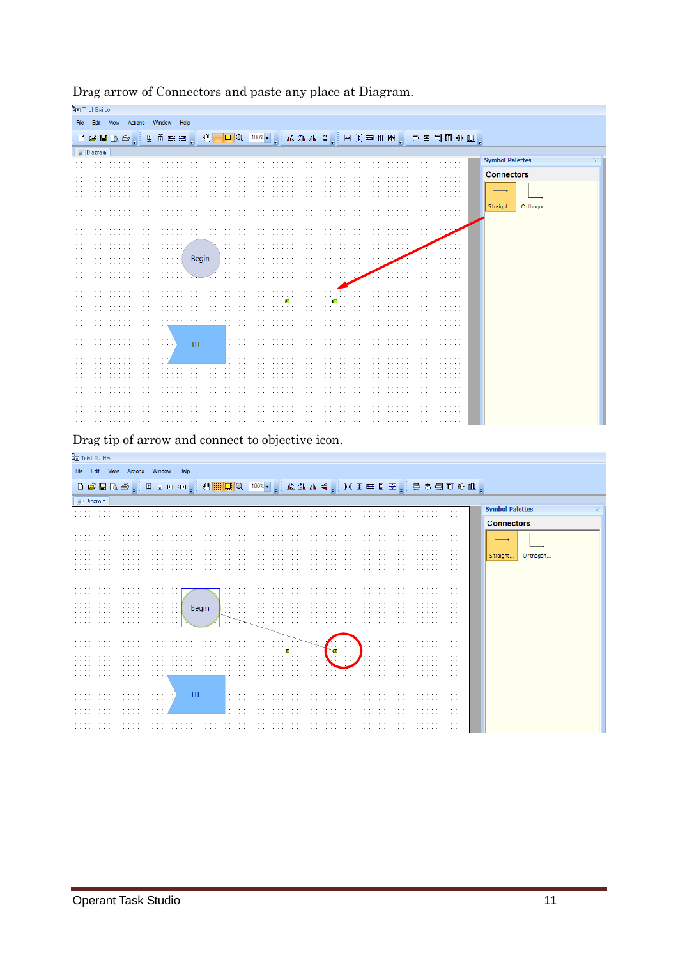

Drag arrow of Connectors and paste any place at Diagram.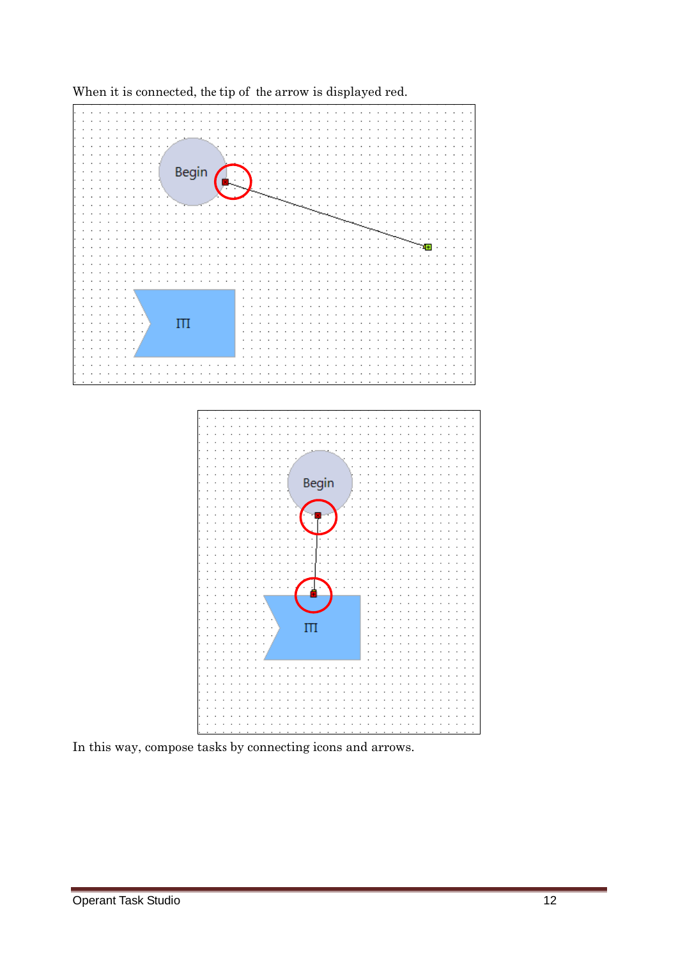

When it is connected, the tip of the arrow is displayed red.

In this way, compose tasks by connecting icons and arrows.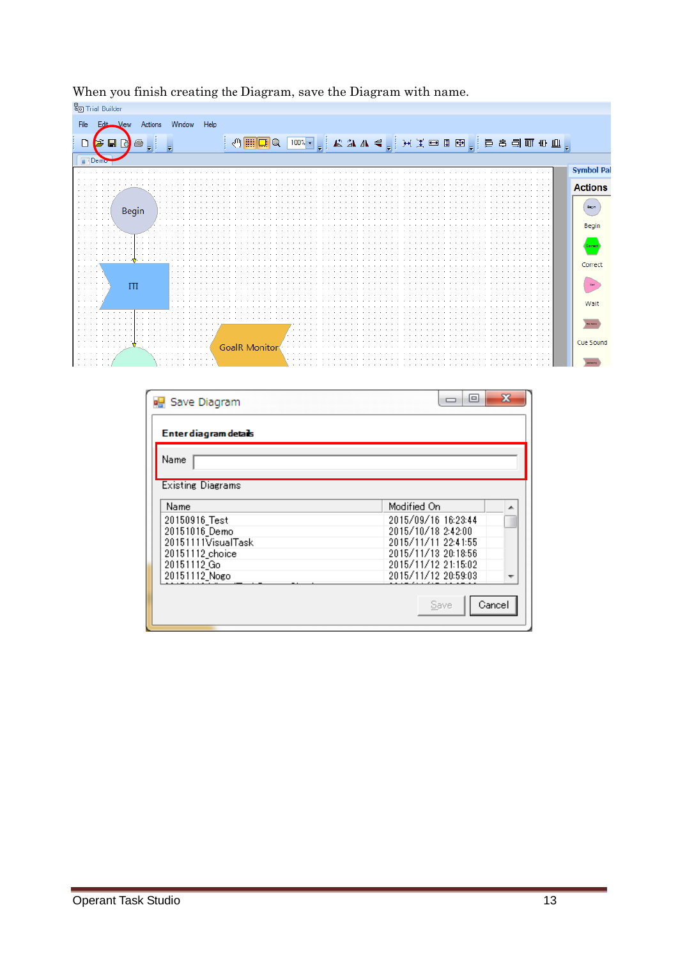

When you finish creating the Diagram, save the Diagram with name.<br> $\frac{\mathbb{R}_{\Box}}{\Box}$  Trial Builder

| Save Diagram             | х<br>▣              |
|--------------------------|---------------------|
| Enter diagram details    |                     |
| Name                     |                     |
| <b>Existing Diagrams</b> |                     |
| Name                     | Modified On         |
| 20150916_Test            | 2015/09/16 16:23:44 |
| 20151016 Demo            | 2015/10/18 2:42:00  |
| 20151111VisualTask       | 2015/11/11 22:41:55 |
| 20151112_choice          | 2015/11/13 20:18:56 |
| 20151112 Go              | 2015/11/12 21:15:02 |
| 20151112_Nogo            | 2015/11/12 20:59:03 |
|                          | Cancel<br>Save      |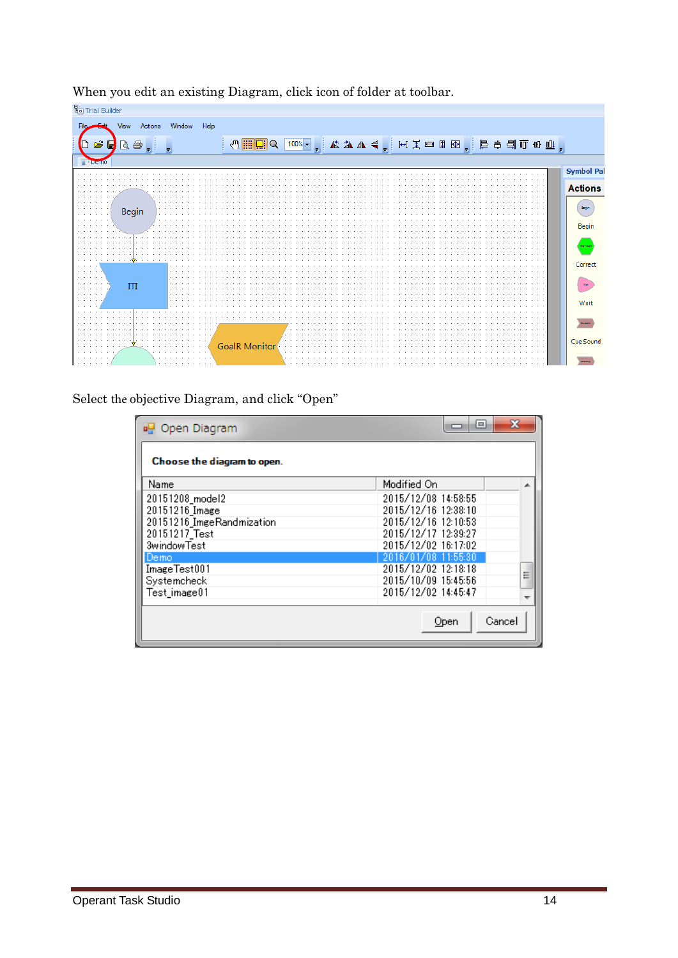| <sup>8</sup> o Trial Builder |          |        |          |                                                                                                                          |  |  |  |  |  |                   |
|------------------------------|----------|--------|----------|--------------------------------------------------------------------------------------------------------------------------|--|--|--|--|--|-------------------|
| View                         | Actions  | Window | Help     |                                                                                                                          |  |  |  |  |  |                   |
|                              |          |        |          |                                                                                                                          |  |  |  |  |  |                   |
| $B \cup B$                   |          |        |          | ▏◁ <mark>▦ख़</mark> ◒ <mark>▯啵</mark> ▾ <sub>,</sub> ┆ぬ◮◀ <sub>▾</sub> ┊⊬ <del>┇▭▯▣<sub>▞</sub>┊╞ᅧ╡때₩⋓<sub>▞</sub></del> |  |  |  |  |  |                   |
| <b>Demt</b>                  |          |        |          |                                                                                                                          |  |  |  |  |  |                   |
|                              |          |        |          |                                                                                                                          |  |  |  |  |  | <b>Symbol Pal</b> |
|                              |          |        |          |                                                                                                                          |  |  |  |  |  |                   |
|                              |          |        |          |                                                                                                                          |  |  |  |  |  | <b>Actions</b>    |
|                              |          |        |          |                                                                                                                          |  |  |  |  |  |                   |
|                              | Begin    |        |          |                                                                                                                          |  |  |  |  |  | <b>Begin</b>      |
| $\cdot$ $\cdot$ $\cdot$      |          |        |          |                                                                                                                          |  |  |  |  |  |                   |
|                              |          |        |          |                                                                                                                          |  |  |  |  |  | Begin             |
|                              |          |        |          |                                                                                                                          |  |  |  |  |  |                   |
|                              |          |        |          |                                                                                                                          |  |  |  |  |  | Comed             |
|                              |          |        |          |                                                                                                                          |  |  |  |  |  |                   |
| .                            |          |        |          |                                                                                                                          |  |  |  |  |  | Correct           |
| .<br>$\sim$                  |          |        |          |                                                                                                                          |  |  |  |  |  |                   |
| .<br>$\sim$                  |          |        |          |                                                                                                                          |  |  |  |  |  |                   |
| $\mathbf{r}$<br>$\cdots$     | Ш        |        |          |                                                                                                                          |  |  |  |  |  |                   |
| .                            |          |        |          |                                                                                                                          |  |  |  |  |  | Wait              |
|                              |          |        |          |                                                                                                                          |  |  |  |  |  |                   |
|                              |          |        |          |                                                                                                                          |  |  |  |  |  |                   |
|                              |          |        |          |                                                                                                                          |  |  |  |  |  |                   |
|                              |          |        |          |                                                                                                                          |  |  |  |  |  |                   |
|                              |          |        |          | GoalR Monitor                                                                                                            |  |  |  |  |  | Cue Sound         |
| $\sim$<br>$\sim$ $\sim$      | $\cdots$ |        | $\cdots$ |                                                                                                                          |  |  |  |  |  |                   |
|                              |          |        |          |                                                                                                                          |  |  |  |  |  |                   |

When you edit an existing Diagram, click icon of folder at toolbar.

Select the objective Diagram, and click "Open"

| og Open Diagram             | x<br>l۰                  |
|-----------------------------|--------------------------|
| Choose the diagram to open. |                          |
| Name                        | Modified On<br>∸         |
| 20151208_model2             | 2015/12/08 14:58:55      |
| 20151216_Image              | 2015/12/16 12:38:10      |
| 20151216 ImgeRandmization   | 2015/12/16 12:10:53      |
| 20151217 Test               | 2015/12/17 12:39:27      |
| 3windowTest                 | 2015/12/02 16:17:02      |
| Demo                        | 2016/01/08 11:55:30      |
| ImageTest001                | 2015/12/02 12:18:18<br>Ξ |
| Systemcheck                 | 2015/10/09 15:45:56      |
| Test image01                | 2015/12/02 14:45:47      |
|                             |                          |
|                             | Cancel<br>Open           |
|                             |                          |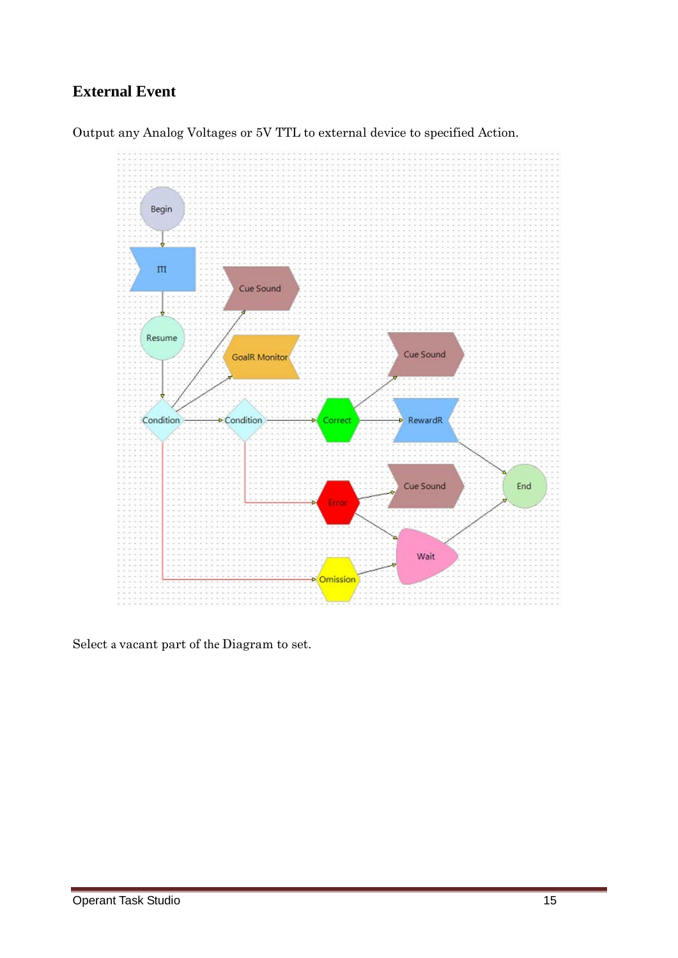### **External Event**





Select a vacant part of the Diagram to set.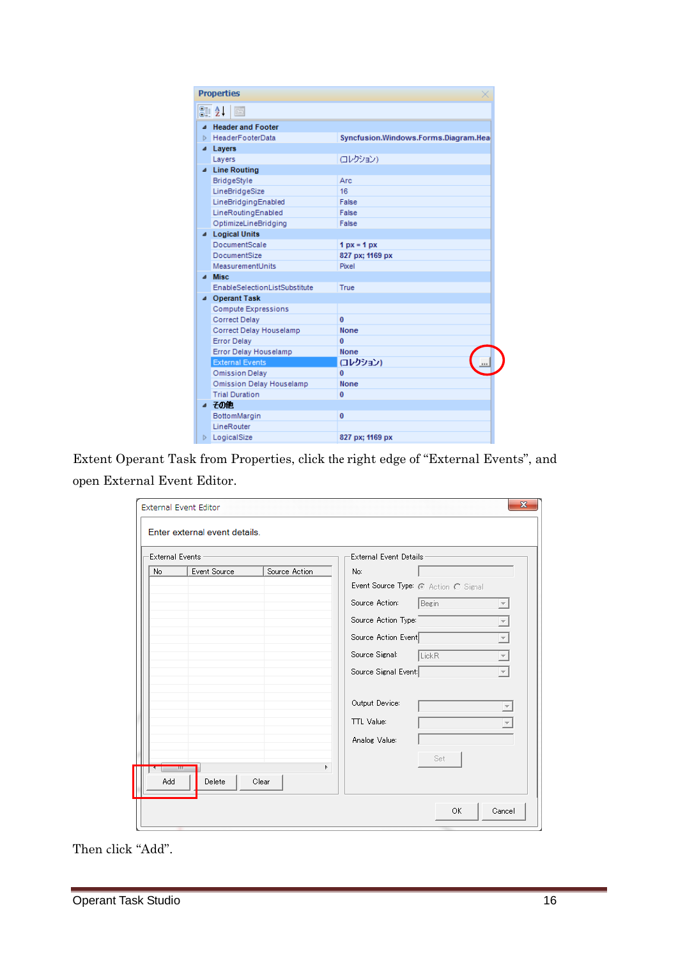| <b>Properties</b>             |                                      |
|-------------------------------|--------------------------------------|
| SI 2.<br>E                    |                                      |
| <b>Header and Footer</b><br>◢ |                                      |
| HeaderFooterData<br>ь         | Syncfusion.Windows.Forms.Diagram.Hea |
| Layers<br>◢                   |                                      |
| Layers                        | ロレクション)                              |
| ▲ Line Routing                |                                      |
| BridgeStyle                   | Arc                                  |
| LineBridgeSize                | 16                                   |
| LineBridgingEnabled           | False                                |
| LineRoutingEnabled            | False                                |
| OptimizeLineBridging          | False                                |
| 4 Logical Units               |                                      |
| <b>DocumentScale</b>          | $1 px = 1 px$                        |
| <b>DocumentSize</b>           | 827 px; 1169 px                      |
| MeasurementUnits              | Pixel                                |
| <b>Misc</b>                   |                                      |
| EnableSelectionListSubstitute | True                                 |
| ▲ Operant Task                |                                      |
| Compute Expressions           |                                      |
| <b>Correct Delay</b>          | $\mathbf{0}$                         |
| Correct Delay Houselamp       | <b>None</b>                          |
| <b>Error Delay</b>            | 0                                    |
| Error Delay Houselamp         | <b>None</b>                          |
| <b>External Events</b>        | (コレクション)                             |
| <b>Omission Delay</b>         | 0                                    |
| Omission Delay Houselamp      | <b>None</b>                          |
| <b>Trial Duration</b>         | 0                                    |
| ⊿ 子の他                         |                                      |
| BottomMargin                  | $\bf{0}$                             |
| LineRouter                    |                                      |
| <b>D</b> LogicalSize          | 827 px; 1169 px                      |
|                               |                                      |

Extent Operant Task from Properties, click the right edge of "External Events", and open External Event Editor.

|     | <b>External Events</b> |               | External Event Details:              |                     |
|-----|------------------------|---------------|--------------------------------------|---------------------|
| No. | Event Source           | Source Action | No:                                  |                     |
|     |                        |               | Event Source Type: @ Action C Signal |                     |
|     |                        |               | Source Action:<br>Begin              |                     |
|     |                        |               | Source Action Type:                  | $\overline{ }$      |
|     |                        |               | Source Action Event                  | $\overline{ }$      |
|     |                        |               | Source Signal:<br>LickR              | $\overline{\nabla}$ |
|     |                        |               | Source Signal Event                  |                     |
|     |                        |               | Output Device:                       |                     |
|     |                        |               | TTL Value:                           |                     |
|     |                        |               | Analog Value:                        |                     |
|     |                        |               | Set                                  |                     |
|     | - 111                  | Þ.            |                                      |                     |

Then click "Add".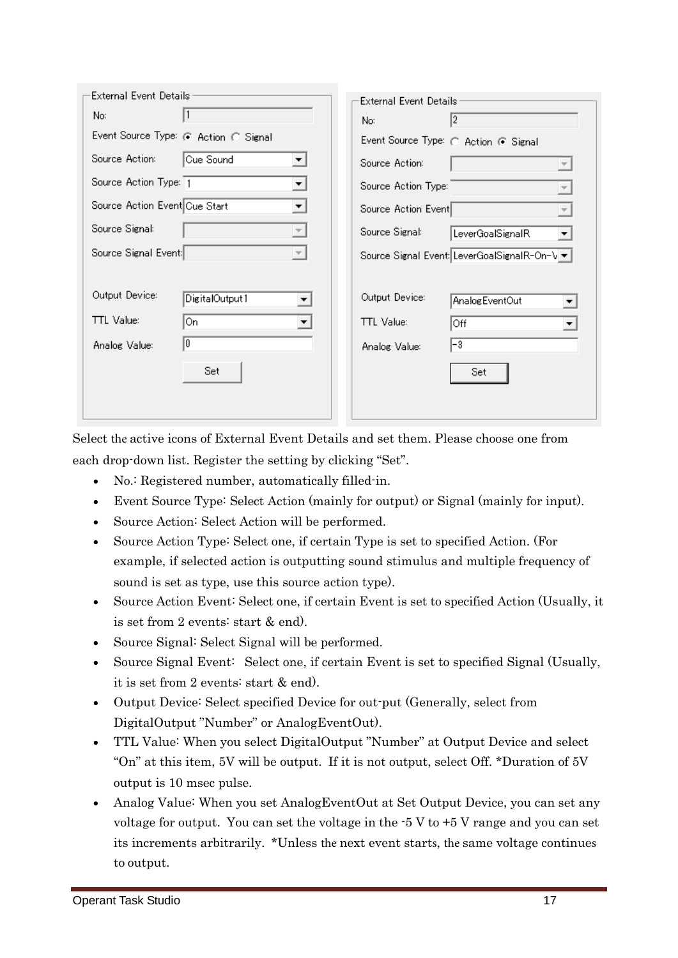| External Event Details                           | External Event Details                      |
|--------------------------------------------------|---------------------------------------------|
| No:                                              | 12<br>No:                                   |
| Event Source Type: @ Action @ Signal             | Event Source Type: ( Action @ Signal        |
| Source Action:<br>Cue Sound<br>▼∣                | Source Action:                              |
| Source Action Type: 1                            | Source Action Type:                         |
| Source Action Event Cue Start                    | Source Action Event                         |
| Source Signal:<br>$\vert \nabla \vert$           | Source Signal:<br>LeverGoalSignalR          |
| Source Signal Event:<br>$\overline{\phantom{a}}$ | Source Signal Event LeverGoalSignalR-On-\ ▼ |
| Output Device:<br>DigitalOutput1<br>▼            | Output Device:<br>Analog EventOut           |
| TTL Value:<br>On<br>▼                            | <b>TTL</b> Value:<br>Off                    |
| I٥<br>Analog Value:                              | $ -3 $<br>Analog Value:                     |
| Set                                              | Set                                         |
|                                                  |                                             |

Select the active icons of External Event Details and set them. Please choose one from each drop-down list. Register the setting by clicking "Set".

- No.: Registered number, automatically filled-in.
- Event Source Type: Select Action (mainly for output) or Signal (mainly for input).
- Source Action: Select Action will be performed.
- Source Action Type: Select one, if certain Type is set to specified Action. (For example, if selected action is outputting sound stimulus and multiple frequency of sound is set as type, use this source action type).
- Source Action Event: Select one, if certain Event is set to specified Action (Usually, it is set from 2 events: start & end).
- Source Signal: Select Signal will be performed.
- Source Signal Event: Select one, if certain Event is set to specified Signal (Usually, it is set from 2 events: start & end).
- Output Device: Select specified Device for out-put (Generally, select from DigitalOutput "Number" or AnalogEventOut).
- TTL Value: When you select DigitalOutput "Number" at Output Device and select "On" at this item, 5V will be output. If it is not output, select Off. \*Duration of 5V output is 10 msec pulse.
- Analog Value: When you set AnalogEventOut at Set Output Device, you can set any voltage for output. You can set the voltage in the -5 V to +5 V range and you can set its increments arbitrarily. \*Unless the next event starts, the same voltage continues to output.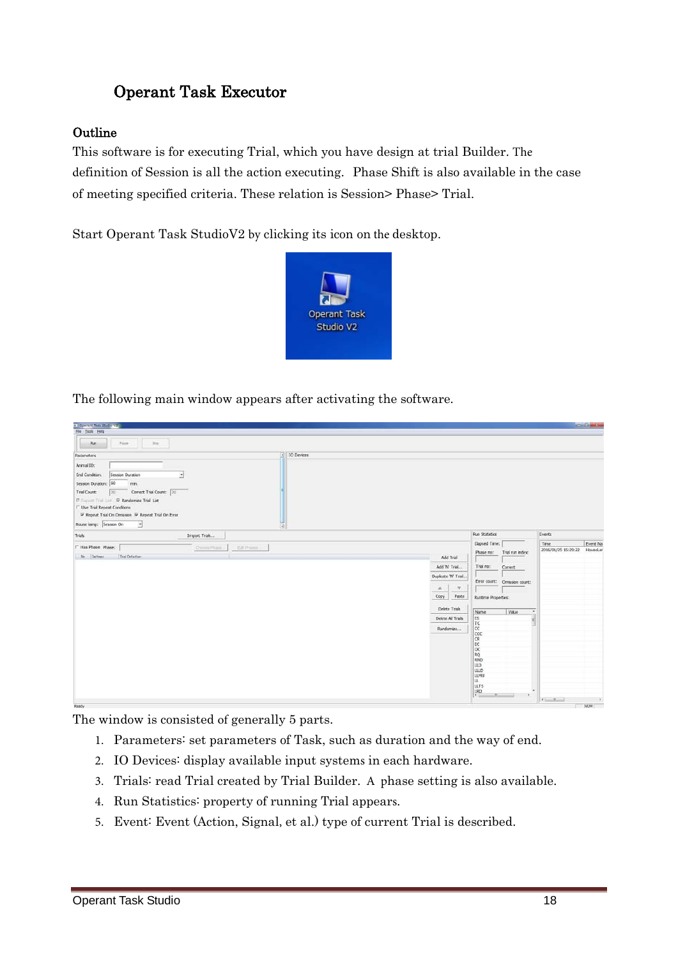### Operant Task Executor

#### **Outline**

This software is for executing Trial, which you have design at trial Builder. The definition of Session is all the action executing. Phase Shift is also available in the case of meeting specified criteria. These relation is Session> Phase> Trial.

Start Operant Task StudioV2 by clicking its icon on the desktop.



The following main window appears after activating the software.

| Operant Task Stude V2                                                                                                                                   |                                                                                                                                                                                                                                                                                                                                                                                                                                                                            | <b>SOLOMON</b>                                                                                                                            |
|---------------------------------------------------------------------------------------------------------------------------------------------------------|----------------------------------------------------------------------------------------------------------------------------------------------------------------------------------------------------------------------------------------------------------------------------------------------------------------------------------------------------------------------------------------------------------------------------------------------------------------------------|-------------------------------------------------------------------------------------------------------------------------------------------|
| Elle Tools Help                                                                                                                                         |                                                                                                                                                                                                                                                                                                                                                                                                                                                                            |                                                                                                                                           |
| Passe<br>Rev<br>Ing.                                                                                                                                    |                                                                                                                                                                                                                                                                                                                                                                                                                                                                            |                                                                                                                                           |
| - IO Devices<br>Parameters                                                                                                                              |                                                                                                                                                                                                                                                                                                                                                                                                                                                                            |                                                                                                                                           |
| Animal ID:<br>End Condition:<br>Session Duration<br>$\bullet$<br>Session Duration: 60<br>min.<br>Correct Trial Count: 20<br>Trial Count:<br>$\sqrt{20}$ |                                                                                                                                                                                                                                                                                                                                                                                                                                                                            |                                                                                                                                           |
| IP Repeat That List IP Randomize Trial List<br><b>F</b> Use Trial Repeat Conditions<br>₩ Repeat Trial On Omission ₩ Repeat Trial On Error               |                                                                                                                                                                                                                                                                                                                                                                                                                                                                            |                                                                                                                                           |
| House lamp: Sesson On<br>×<br>데<br>Import Trials<br><b>Trials</b>                                                                                       | Run Statistics                                                                                                                                                                                                                                                                                                                                                                                                                                                             | Events                                                                                                                                    |
| F Has Phase: Phase:<br>Droops Prime<br>Edit Photos in<br>No. Settings<br>Trial Definition                                                               | Elapsed Time:<br>Phase no:<br>Add Trial<br>Add 'N' Trial<br>Trial no:<br>Correct<br>Duplcate 'N' Trial<br>Error count: Omission count:<br>$\mathcal{R}$<br>A.<br>Copy<br>Paste<br>Runtme Properties:<br>Delete Trials<br>Name<br>ES.<br>Delete Al Trials<br>$\frac{\mathsf{T}\mathsf{C}}{\mathsf{C}\mathsf{C}}$<br>Randomize<br>$rac{CC}{CR}$<br>EC<br>loc<br>RQ<br>RND<br>lup<br><b>LLLD</b><br>LLMU<br>u.<br><b>LLTS</b><br>$\frac{LRD}{I}$<br>$\frac{1}{2}$<br>$\equiv$ | Time.<br>Event Na<br>2016/01/25 15:29:22<br>HouseLar<br>Trial run index:<br>Vaue<br>$\bullet$<br>$\ddot{\phantom{1}}$<br><b>King Bank</b> |
| Ready                                                                                                                                                   |                                                                                                                                                                                                                                                                                                                                                                                                                                                                            | NUM                                                                                                                                       |

The window is consisted of generally 5 parts.

- 1. Parameters: set parameters of Task, such as duration and the way of end.
- 2. IO Devices: display available input systems in each hardware.
- 3. Trials: read Trial created by Trial Builder. A phase setting is also available.
- 4. Run Statistics: property of running Trial appears.
- 5. Event: Event (Action, Signal, et al.) type of current Trial is described.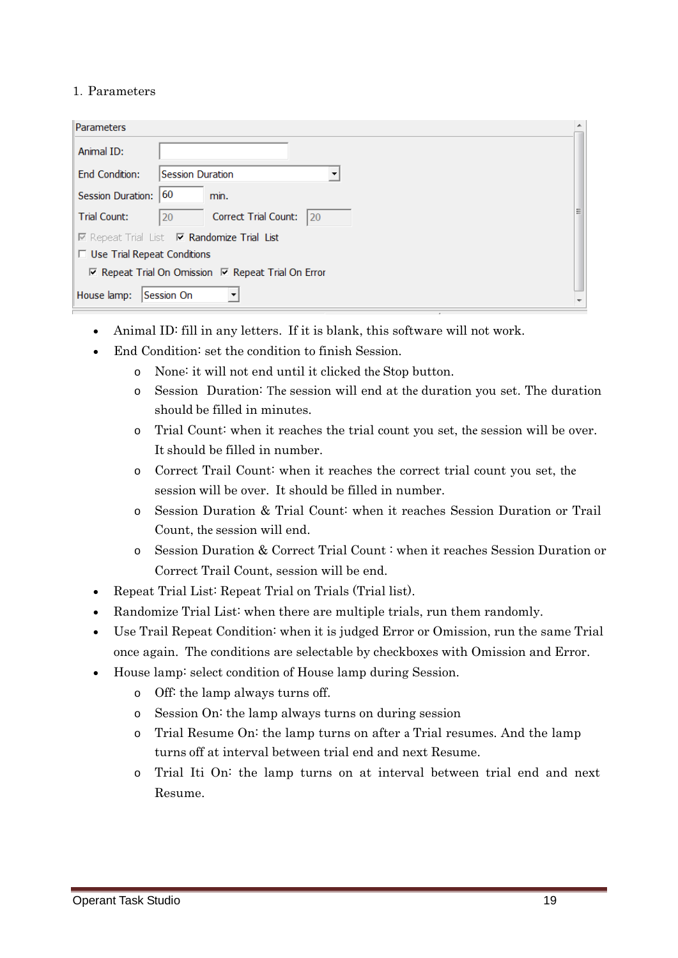#### 1.Parameters

| Parameters                         |                                                                  |  |
|------------------------------------|------------------------------------------------------------------|--|
| Animal ID:                         |                                                                  |  |
| <b>End Condition:</b>              | <b>Session Duration</b>                                          |  |
| <b>Session Duration:</b>           | 60<br>min.                                                       |  |
| <b>Trial Count:</b>                | Correct Trial Count:<br>20<br>20                                 |  |
|                                    | <b>I</b> Repeat Trial List <b>I Randomize Trial List</b>         |  |
| $\Box$ Use Trial Repeat Conditions |                                                                  |  |
|                                    | $\nabla$ Repeat Trial On Omission $\nabla$ Repeat Trial On Error |  |
| House lamp:                        | <b>Session On</b>                                                |  |

- Animal ID: fill in any letters. If it is blank, this software will not work.
- End Condition: set the condition to finish Session.
	- o None: it will not end until it clicked the Stop button.
	- o Session Duration: The session will end at the duration you set. The duration should be filled in minutes.
	- o Trial Count: when it reaches the trial count you set, the session will be over. It should be filled in number.
	- o Correct Trail Count: when it reaches the correct trial count you set, the session will be over. It should be filled in number.
	- o Session Duration & Trial Count: when it reaches Session Duration or Trail Count, the session will end.
	- o Session Duration & Correct Trial Count : when it reaches Session Duration or Correct Trail Count, session will be end.
- Repeat Trial List: Repeat Trial on Trials (Trial list).
- Randomize Trial List: when there are multiple trials, run them randomly.
- Use Trail Repeat Condition: when it is judged Error or Omission, run the same Trial once again. The conditions are selectable by checkboxes with Omission and Error.
- House lamp: select condition of House lamp during Session.
	- o Off: the lamp always turns off.
	- o Session On: the lamp always turns on during session
	- o Trial Resume On: the lamp turns on after a Trial resumes. And the lamp turns off at interval between trial end and next Resume.
	- o Trial Iti On: the lamp turns on at interval between trial end and next Resume.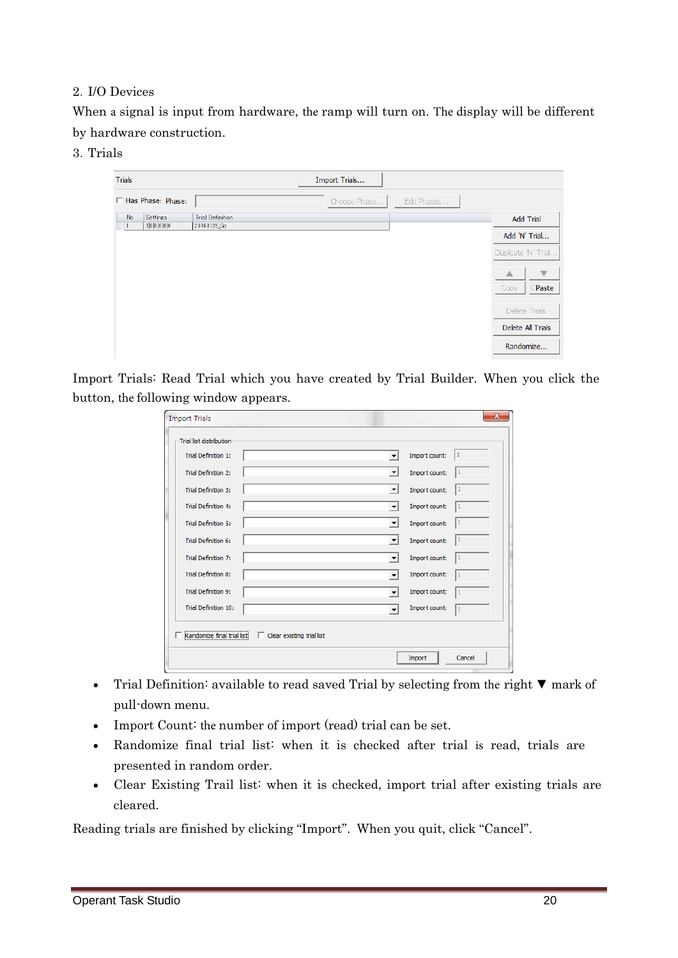#### 2.I/O Devices

When a signal is input from hardware, the ramp will turn on. The display will be different by hardware construction.

3.Trials

| <b>Trials</b>                  |                                        | Import Trials |             |                     |
|--------------------------------|----------------------------------------|---------------|-------------|---------------------|
| □ Has Phase: Phase:            |                                        | Choose Phase  | Edit Phases |                     |
| Settings<br>No.<br>1 0 0 0 0 0 | <b>Trial Definition</b><br>20160125_Go |               |             | <b>Add Trial</b>    |
|                                |                                        |               |             | Add 'N' Trial       |
|                                |                                        |               |             | Duplicate 'N' Trial |
|                                |                                        |               |             | ▼<br>△              |
|                                |                                        |               |             | CPaste<br>Copy      |
|                                |                                        |               |             | Delete Trials       |
|                                |                                        |               |             | Delete All Trials   |
|                                |                                        |               |             | Randomize           |

Import Trials: Read Trial which you have created by Trial Builder. When you click the button, the following window appears.

| <b>Trial Definition 1:</b>  | ۰                                | Import count: | 11           |
|-----------------------------|----------------------------------|---------------|--------------|
| <b>Trial Definition 2:</b>  | $\blacktriangledown$             | Import count: |              |
| <b>Trial Definition 3:</b>  | $\blacktriangledown$             | Import count: | 1            |
| <b>Trial Definition 4:</b>  | $\blacktriangledown$             | Import count: |              |
| <b>Trial Definition 5:</b>  | $\blacktriangledown$             | Import count: | 1            |
| <b>Trial Definition 6:</b>  | $\overline{\phantom{a}}$         | Import count: | 1            |
| <b>Trial Definition 7:</b>  | $\blacktriangledown$             | Import count: | 11           |
| <b>Trial Definition 8:</b>  | $\cdot$                          | Import count: | 1            |
| <b>Trial Definition 9:</b>  | $\overline{\phantom{a}}$         | Import count: | 1            |
| <b>Trial Definition 10:</b> | $\overline{\phantom{a}}$         | Import count: | $\mathbf{1}$ |
| Randomize final trial list! | $\Box$ Clear existing trial list |               |              |

- Trial Definition: available to read saved Trial by selecting from the right ▼ mark of pull-down menu.
- Import Count: the number of import (read) trial can be set.
- Randomize final trial list: when it is checked after trial is read, trials are presented in random order.
- Clear Existing Trail list: when it is checked, import trial after existing trials are cleared.

Reading trials are finished by clicking "Import". When you quit, click "Cancel".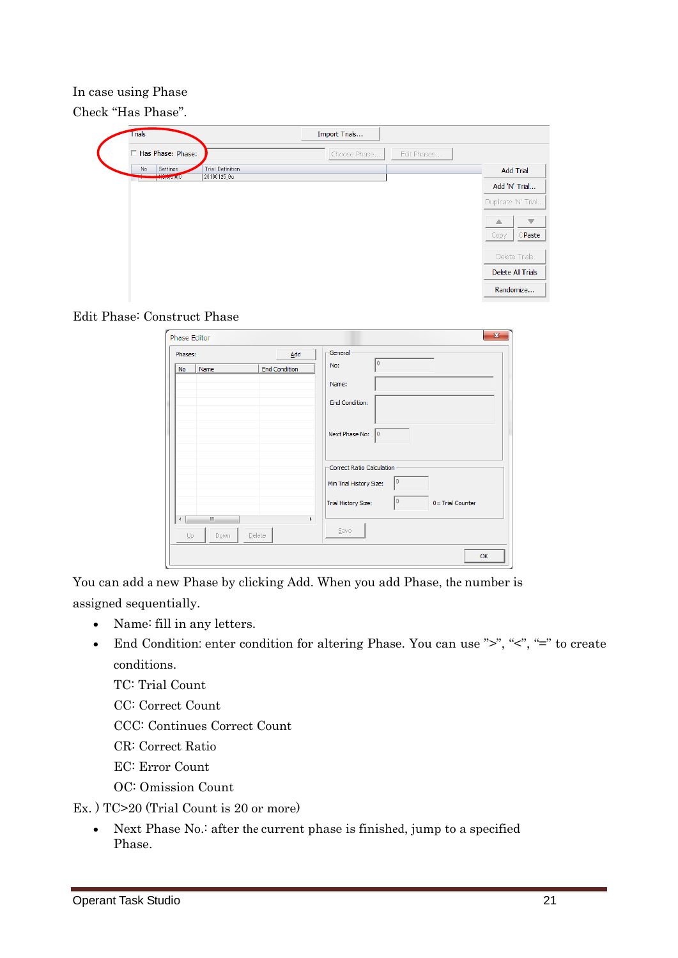In case using Phase

Check "Has Phase".

| <b>Trials</b>                                                               | Import Trials               |                              |
|-----------------------------------------------------------------------------|-----------------------------|------------------------------|
| F Has Phase: Phase:                                                         | Edit Phases<br>Choose Phase |                              |
| Settings<br>Trial Definition<br>No<br>1.1111<br>20160125_Go<br><b>Upper</b> |                             | <b>Add Trial</b>             |
|                                                                             |                             | Add 'N' Trial                |
|                                                                             |                             | Duplicate 'N' Trial          |
|                                                                             |                             | $\overline{\mathbf{v}}$<br>△ |
|                                                                             |                             | CPaste<br>Copy               |
|                                                                             |                             | Delete Trials                |
|                                                                             |                             | Delete All Trials            |
|                                                                             |                             | Randomize                    |



| Phases:  |                            |                      | Add         | General                                                    |
|----------|----------------------------|----------------------|-------------|------------------------------------------------------------|
| No       | Name                       | <b>End Condition</b> |             | n<br>No:                                                   |
|          |                            |                      |             | Name:                                                      |
|          |                            |                      |             | <b>End Condition:</b>                                      |
|          |                            |                      |             | Next Phase No:<br>10                                       |
|          |                            |                      |             | Correct Ratio Calculation<br>I٥<br>Min Trial History Size: |
|          |                            |                      |             | 10<br>0 = Trial Counter<br><b>Trial History Size:</b>      |
| ∢<br>Up. | m<br><b>Delete</b><br>Down |                      | $\mathbb F$ | Save                                                       |

You can add a new Phase by clicking Add. When you add Phase, the number is assigned sequentially.

- Name: fill in any letters.
- End Condition: enter condition for altering Phase. You can use ">", "<", "=" to create conditions.

TC: Trial Count

CC: Correct Count

CCC: Continues Correct Count

CR: Correct Ratio

EC: Error Count

OC: Omission Count

Ex. ) TC>20 (Trial Count is 20 or more)

• Next Phase No.: after the current phase is finished, jump to a specified Phase.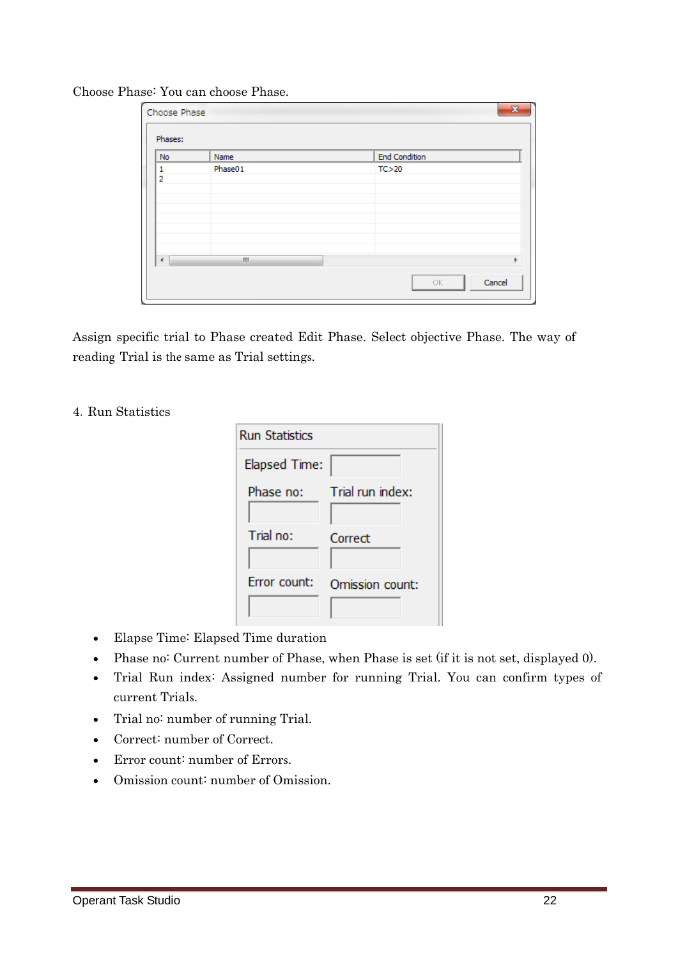| Phases:              |         |                      |  |
|----------------------|---------|----------------------|--|
| <b>No</b>            | Name    | <b>End Condition</b> |  |
| 1<br>$\overline{2}$  | Phase01 | TC > 20              |  |
| $\blacktriangleleft$ | W.      |                      |  |

Choose Phase: You can choose Phase.

Assign specific trial to Phase created Edit Phase. Select objective Phase. The way of reading Trial is the same as Trial settings.

#### 4.Run Statistics

| <b>Run Statistics</b> |                  |  |
|-----------------------|------------------|--|
| Elapsed Time:         |                  |  |
| Phase no:             | Trial run index: |  |
| Trial no:             | Correct          |  |
| Frror count:          | Omission count:  |  |

- Elapse Time: Elapsed Time duration
- Phase no: Current number of Phase, when Phase is set (if it is not set, displayed 0).
- Trial Run index: Assigned number for running Trial. You can confirm types of current Trials.
- Trial no: number of running Trial.
- Correct: number of Correct.
- Error count: number of Errors.
- Omission count: number of Omission.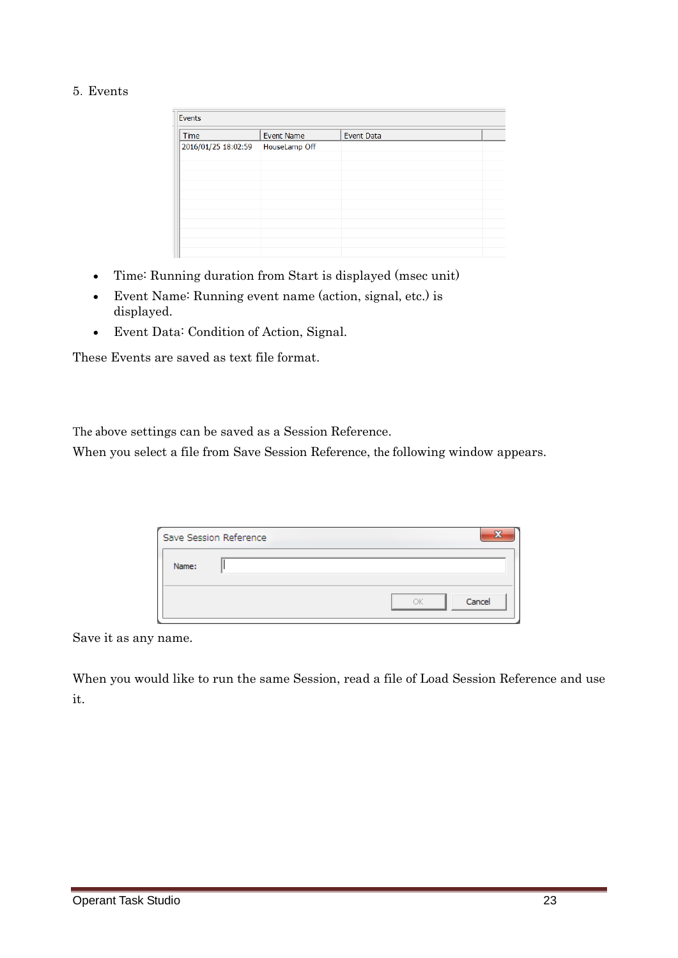5.Events

| Events              |                   |                   |  |
|---------------------|-------------------|-------------------|--|
| Time                | <b>Event Name</b> | <b>Event Data</b> |  |
| 2016/01/25 18:02:59 | HouseLamp Off     |                   |  |
|                     |                   |                   |  |
|                     |                   |                   |  |
|                     |                   |                   |  |
|                     |                   |                   |  |
|                     |                   |                   |  |
|                     |                   |                   |  |
|                     |                   |                   |  |
|                     |                   |                   |  |
|                     |                   |                   |  |

- Time: Running duration from Start is displayed (msec unit)
- Event Name: Running event name (action, signal, etc.) is displayed.
- Event Data: Condition of Action, Signal.

These Events are saved as text file format.

The above settings can be saved as a Session Reference.

When you select a file from Save Session Reference, the following window appears.

|       | Save Session Reference |              |
|-------|------------------------|--------------|
| Name: |                        |              |
|       |                        | Cancel<br>ΩK |

Save it as any name.

When you would like to run the same Session, read a file of Load Session Reference and use it.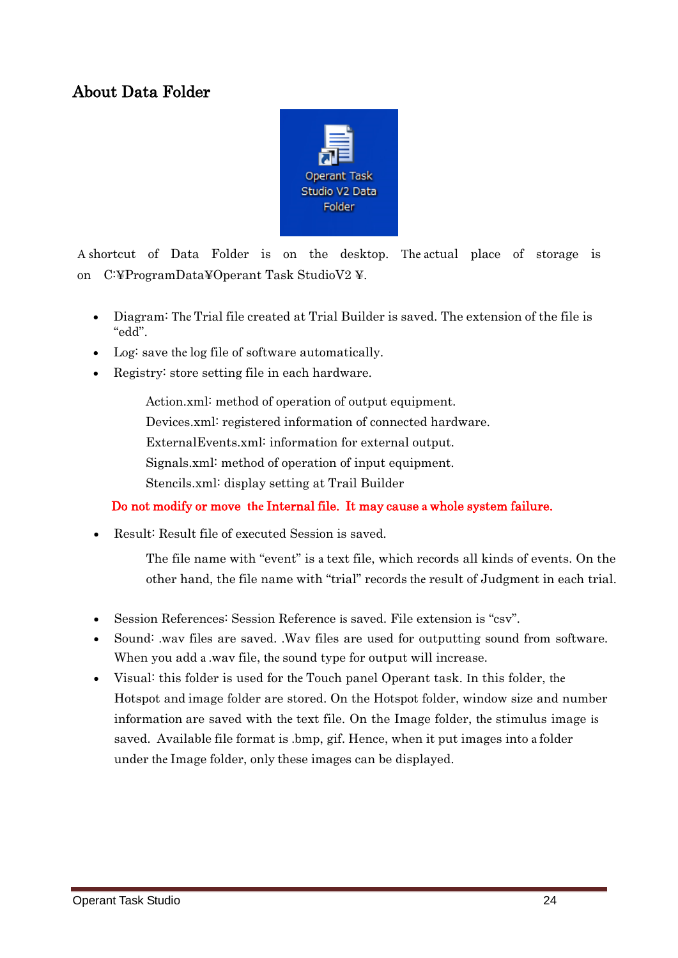### About Data Folder



A shortcut of Data Folder is on the desktop. The actual place of storage is on C:¥ProgramData¥Operant Task StudioV2 ¥.

- Diagram: The Trial file created at Trial Builder is saved. The extension of the file is "edd".
- Log: save the log file of software automatically.
- Registry: store setting file in each hardware.

Action.xml: method of operation of output equipment. Devices.xml: registered information of connected hardware. ExternalEvents.xml: information for external output. Signals.xml: method of operation of input equipment. Stencils.xml: display setting at Trail Builder

#### Do not modify or move **the** Internal file. It may cause **a** whole system failure.

• Result: Result file of executed Session is saved.

The file name with "event" is a text file, which records all kinds of events. On the other hand, the file name with "trial" records the result of Judgment in each trial.

- Session References: Session Reference is saved. File extension is "csv".
- Sound: .wav files are saved. .Wav files are used for outputting sound from software. When you add a .wav file, the sound type for output will increase.
- Visual: this folder is used for the Touch panel Operant task. In this folder, the Hotspot and image folder are stored. On the Hotspot folder, window size and number information are saved with the text file. On the Image folder, the stimulus image is saved. Available file format is .bmp, gif. Hence, when it put images into a folder under the Image folder, only these images can be displayed.